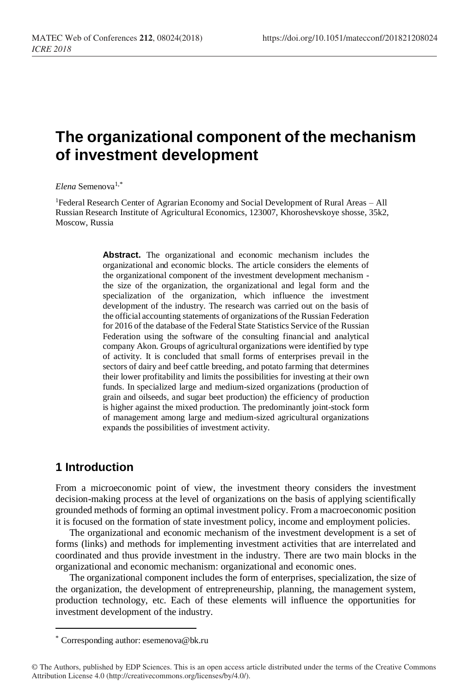# **The organizational component of the mechanism of investment development**

*Elena* Semenova1,\*

<sup>1</sup>Federal Research Center of Agrarian Economy and Social Development of Rural Areas – All Russian Research Institute of Agricultural Economics, 123007, Khoroshevskoye shosse, 35k2, Moscow, Russia

> **Abstract.** The organizational and economic mechanism includes the organizational and economic blocks. The article considers the elements of the organizational component of the investment development mechanism the size of the organization, the organizational and legal form and the specialization of the organization, which influence the investment development of the industry. The research was carried out on the basis of the official accounting statements of organizations of the Russian Federation for 2016 of the database of the Federal State Statistics Service of the Russian Federation using the software of the consulting financial and analytical company Akon. Groups of agricultural organizations were identified by type of activity. It is concluded that small forms of enterprises prevail in the sectors of dairy and beef cattle breeding, and potato farming that determines their lower profitability and limits the possibilities for investing at their own funds. In specialized large and medium-sized organizations (production of grain and oilseeds, and sugar beet production) the efficiency of production is higher against the mixed production. The predominantly joint-stock form of management among large and medium-sized agricultural organizations expands the possibilities of investment activity.

### **1 Introduction**

 $\overline{a}$ 

From a microeconomic point of view, the investment theory considers the investment decision-making process at the level of organizations on the basis of applying scientifically grounded methods of forming an optimal investment policy. From a macroeconomic position it is focused on the formation of state investment policy, income and employment policies.

The organizational and economic mechanism of the investment development is a set of forms (links) and methods for implementing investment activities that are interrelated and coordinated and thus provide investment in the industry. There are two main blocks in the organizational and economic mechanism: organizational and economic ones.

The organizational component includes the form of enterprises, specialization, the size of the organization, the development of entrepreneurship, planning, the management system, production technology, etc. Each of these elements will influence the opportunities for investment development of the industry.

<sup>\*</sup> Corresponding author: [esemenova@bk.ru](mailto:esemenova@bk.ru)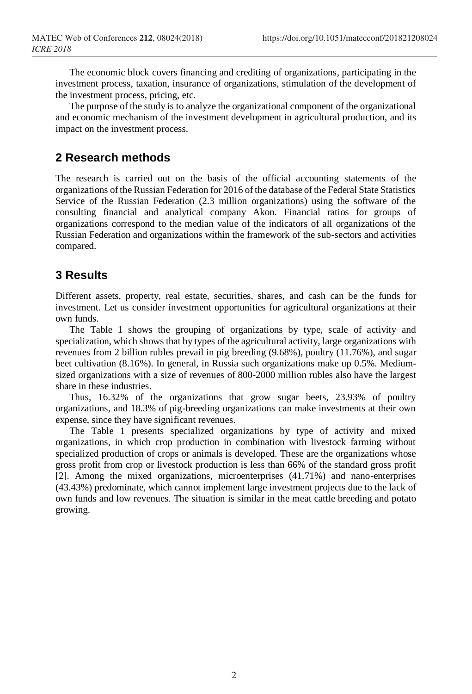The economic block covers financing and crediting of organizations, participating in the investment process, taxation, insurance of organizations, stimulation of the development of the investment process, pricing, etc.

The purpose of the study is to analyze the organizational component of the organizational and economic mechanism of the investment development in agricultural production, and its impact on the investment process.

### **2 Research methods**

The research is carried out on the basis of the official accounting statements of the organizations of the Russian Federation for 2016 of the database of the Federal State Statistics Service of the Russian Federation (2.3 million organizations) using the software of the consulting financial and analytical company Akon. Financial ratios for groups of organizations correspond to the median value of the indicators of all organizations of the Russian Federation and organizations within the framework of the sub-sectors and activities compared.

### **3 Results**

Different assets, property, real estate, securities, shares, and cash can be the funds for investment. Let us consider investment opportunities for agricultural organizations at their own funds.

The Table 1 shows the grouping of organizations by type, scale of activity and specialization, which shows that by types of the agricultural activity, large organizations with revenues from 2 billion rubles prevail in pig breeding (9.68%), poultry (11.76%), and sugar beet cultivation (8.16%). In general, in Russia such organizations make up 0.5%. Mediumsized organizations with a size of revenues of 800-2000 million rubles also have the largest share in these industries.

Thus, 16.32% of the organizations that grow sugar beets, 23.93% of poultry organizations, and 18.3% of pig-breeding organizations can make investments at their own expense, since they have significant revenues.

The Table 1 presents specialized organizations by type of activity and mixed organizations, in which crop production in combination with livestock farming without specialized production of crops or animals is developed. These are the organizations whose gross profit from crop or livestock production is less than 66% of the standard gross profit [2]. Among the mixed organizations, microenterprises (41.71%) and nano-enterprises (43.43%) predominate, which cannot implement large investment projects due to the lack of own funds and low revenues. The situation is similar in the meat cattle breeding and potato growing.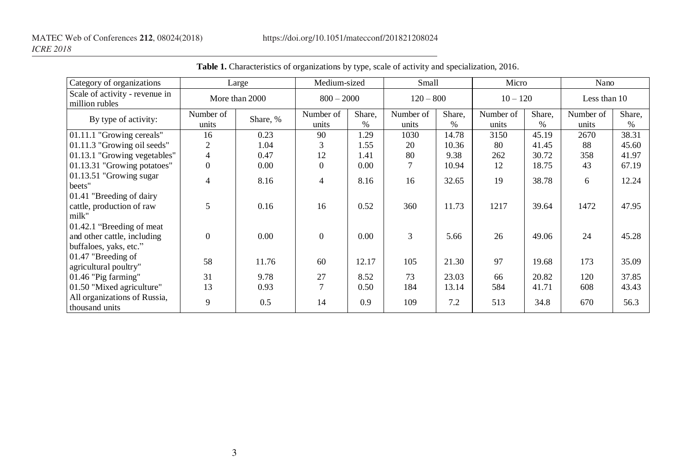| Category of organizations                                                           | Large              |          | Medium-sized       |                | Small              |                | Micro              |                | Nano               |                |
|-------------------------------------------------------------------------------------|--------------------|----------|--------------------|----------------|--------------------|----------------|--------------------|----------------|--------------------|----------------|
| Scale of activity - revenue in<br>million rubles                                    | More than 2000     |          | $800 - 2000$       |                | $120 - 800$        |                | $10 - 120$         |                | Less than 10       |                |
| By type of activity:                                                                | Number of<br>units | Share, % | Number of<br>units | Share,<br>$\%$ | Number of<br>units | Share,<br>$\%$ | Number of<br>units | Share,<br>$\%$ | Number of<br>units | Share,<br>$\%$ |
| 01.11.1 "Growing cereals"                                                           | 16                 | 0.23     | 90                 | 1.29           | 1030               | 14.78          | 3150               | 45.19          | 2670               | 38.31          |
| 01.11.3 "Growing oil seeds"                                                         | $\overline{c}$     | 1.04     | 3                  | 1.55           | 20                 | 10.36          | 80                 | 41.45          | 88                 | 45.60          |
| 01.13.1 "Growing vegetables"                                                        | $\overline{4}$     | 0.47     | 12                 | 1.41           | 80                 | 9.38           | 262                | 30.72          | 358                | 41.97          |
| 01.13.31 "Growing potatoes"                                                         | $\Omega$           | 0.00     | $\Omega$           | 0.00           | 7                  | 10.94          | 12                 | 18.75          | 43                 | 67.19          |
|                                                                                     |                    |          |                    |                |                    |                |                    |                |                    |                |
| $01.13.51$ "Growing sugar"<br>beets"                                                | 4                  | 8.16     | $\overline{4}$     | 8.16           | 16                 | 32.65          | 19                 | 38.78          | 6                  | 12.24          |
| 01.41 "Breeding of dairy<br>cattle, production of raw<br>milk"                      | 5                  | 0.16     | 16                 | 0.52           | 360                | 11.73          | 1217               | 39.64          | 1472               | 47.95          |
| 01.42.1 "Breeding of meat"<br>and other cattle, including<br>buffaloes, yaks, etc." | $\Omega$           | 0.00     | $\theta$           | 0.00           | 3                  | 5.66           | 26                 | 49.06          | 24                 | 45.28          |
| $01.47$ "Breeding of<br>agricultural poultry"                                       | 58                 | 11.76    | 60                 | 12.17          | 105                | 21.30          | 97                 | 19.68          | 173                | 35.09          |
| 01.46 "Pig farming"                                                                 | 31                 | 9.78     | 27                 | 8.52           | 73                 | 23.03          | 66                 | 20.82          | 120                | 37.85          |
| 01.50 "Mixed agriculture"                                                           | 13                 | 0.93     | $\tau$             | 0.50           | 184                | 13.14          | 584                | 41.71          | 608                | 43.43          |
| All organizations of Russia,<br>thousand units                                      | 9                  | 0.5      | 14                 | 0.9            | 109                | 7.2            | 513                | 34.8           | 670                | 56.3           |

**Table 1.** Characteristics of organizations by type, scale of activity and specialization, 2016.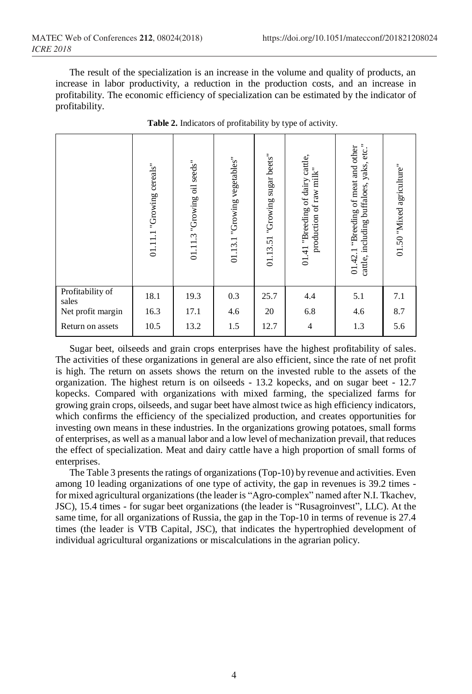The result of the specialization is an increase in the volume and quality of products, an increase in labor productivity, a reduction in the production costs, and an increase in profitability. The economic efficiency of specialization can be estimated by the indicator of profitability.

|                           | 01.11.1 "Growing cereals" | 01.11.3 "Growing oil seeds" | vegetables"<br>01.13.1 "Growing | 01.13.51 "Growing sugar beets" | 01.41 "Breeding of dairy cattle,<br>production of raw milk" | cattle, including buffaloes, yaks, etc."<br>01.42.1 "Breeding of meat and other | 01.50 "Mixed agriculture" |
|---------------------------|---------------------------|-----------------------------|---------------------------------|--------------------------------|-------------------------------------------------------------|---------------------------------------------------------------------------------|---------------------------|
| Profitability of<br>sales | 18.1                      | 19.3                        | 0.3                             | 25.7                           | 4.4                                                         | 5.1                                                                             | 7.1                       |
| Net profit margin         | 16.3                      | 17.1                        | 4.6                             | 20                             | 6.8                                                         | 4.6                                                                             | 8.7                       |
| Return on assets          | 10.5                      | 13.2                        | 1.5                             | 12.7                           | 4                                                           | 1.3                                                                             | 5.6                       |

**Table 2.** Indicators of profitability by type of activity.

Sugar beet, oilseeds and grain crops enterprises have the highest profitability of sales. The activities of these organizations in general are also efficient, since the rate of net profit is high. The return on assets shows the return on the invested ruble to the assets of the organization. The highest return is on oilseeds - 13.2 kopecks, and on sugar beet - 12.7 kopecks. Compared with organizations with mixed farming, the specialized farms for growing grain crops, oilseeds, and sugar beet have almost twice as high efficiency indicators, which confirms the efficiency of the specialized production, and creates opportunities for investing own means in these industries. In the organizations growing potatoes, small forms of enterprises, as well as a manual labor and a low level of mechanization prevail, that reduces the effect of specialization. Meat and dairy cattle have a high proportion of small forms of enterprises.

The Table 3 presents the ratings of organizations (Top-10) by revenue and activities. Even among 10 leading organizations of one type of activity, the gap in revenues is 39.2 times for mixed agricultural organizations (the leader is "Agro-complex" named after N.I. Tkachev, JSC), 15.4 times - for sugar beet organizations (the leader is "Rusagroinvest", LLC). At the same time, for all organizations of Russia, the gap in the Top-10 in terms of revenue is 27.4 times (the leader is VTB Capital, JSC), that indicates the hypertrophied development of individual agricultural organizations or miscalculations in the agrarian policy.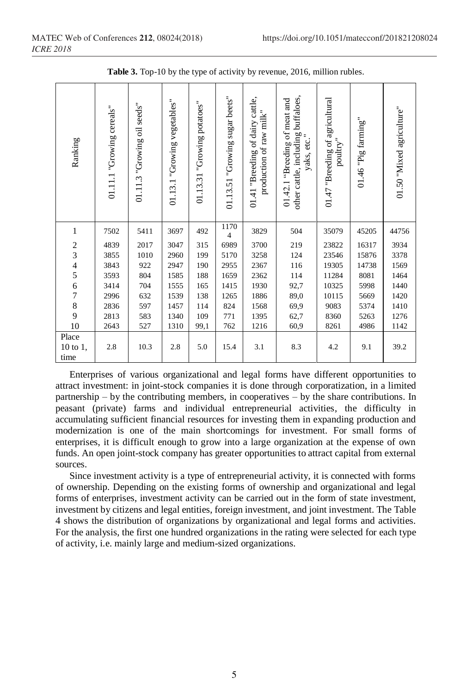| Ranking                   | 01.11.1 "Growing cereals" | seeds"<br>01.11.3 "Growing oil | 01.13.1 "Growing vegetables" | "Growing potatoes"<br>01.13.31 | 01.13.51 "Growing sugar beets" | cattle,<br>production of raw milk"<br>01.41 "Breeding of dairy | other cattle, including buffaloes,<br>01.42.1 "Breeding of meat and<br>yaks, etc. | 01.47 "Breeding of agricultural<br>$\text{pouttry}$ " | $01.46$ "Pig farming" | 01.50 "Mixed agriculture" |
|---------------------------|---------------------------|--------------------------------|------------------------------|--------------------------------|--------------------------------|----------------------------------------------------------------|-----------------------------------------------------------------------------------|-------------------------------------------------------|-----------------------|---------------------------|
| 1                         | 7502                      | 5411                           | 3697                         | 492                            | 1170<br>$\overline{4}$         | 3829                                                           | 504                                                                               | 35079                                                 | 45205                 | 44756                     |
| $\overline{\mathbf{c}}$   | 4839                      | 2017                           | 3047                         | 315                            | 6989                           | 3700                                                           | 219                                                                               | 23822                                                 | 16317                 | 3934                      |
| 3                         | 3855                      | 1010                           | 2960                         | 199                            | 5170                           | 3258                                                           | 124                                                                               | 23546                                                 | 15876                 | 3378                      |
| $\frac{4}{5}$             | 3843                      | 922                            | 2947                         | 190                            | 2955                           | 2367                                                           | 116                                                                               | 19305                                                 |                       | 1569                      |
|                           | 3593                      | 804                            | 1585                         | 188                            | 1659                           | 2362                                                           | 114                                                                               | 11284                                                 | 8081                  | 1464                      |
| $\boldsymbol{6}$          | 3414                      | 704                            | 1555                         | 165                            | 1415                           | 1930                                                           | 92,7                                                                              | 10325                                                 | 5998                  | 1440                      |
| $\overline{7}$            | 2996                      | 632                            | 1539                         | 138                            | 1265                           | 1886                                                           | 89,0                                                                              | 10115                                                 | 5669                  | 1420                      |
| $\,$ 8 $\,$               | 2836                      | 597                            | 1457                         | 114                            | 824                            | 1568                                                           | 69,9                                                                              | 9083                                                  | 5374                  | 1410                      |
| 9                         | 2813                      | 583                            | 1340                         | 109                            | 771                            | 1395                                                           | 62,7                                                                              | 8360                                                  | 5263                  | 1276                      |
| 10                        | 2643                      | 527                            | 1310                         | 99,1                           | 762                            | 1216                                                           | 60,9                                                                              | 8261                                                  | 4986                  | 1142                      |
| Place<br>10 to 1,<br>time | 2.8                       | 10.3                           | 2.8                          | 5.0                            | 15.4                           | 3.1                                                            | 8.3                                                                               | 4.2                                                   | 9.1                   | 39.2                      |

**Table 3.** Top-10 by the type of activity by revenue, 2016, million rubles.

Enterprises of various organizational and legal forms have different opportunities to attract investment: in joint-stock companies it is done through corporatization, in a limited partnership – by the contributing members, in cooperatives – by the share contributions. In peasant (private) farms and individual entrepreneurial activities, the difficulty in accumulating sufficient financial resources for investing them in expanding production and modernization is one of the main shortcomings for investment. For small forms of enterprises, it is difficult enough to grow into a large organization at the expense of own funds. An open joint-stock company has greater opportunities to attract capital from external sources.

Since investment activity is a type of entrepreneurial activity, it is connected with forms of ownership. Depending on the existing forms of ownership and organizational and legal forms of enterprises, investment activity can be carried out in the form of state investment, investment by citizens and legal entities, foreign investment, and joint investment. The Table 4 shows the distribution of organizations by organizational and legal forms and activities. For the analysis, the first one hundred organizations in the rating were selected for each type of activity, i.e. mainly large and medium-sized organizations.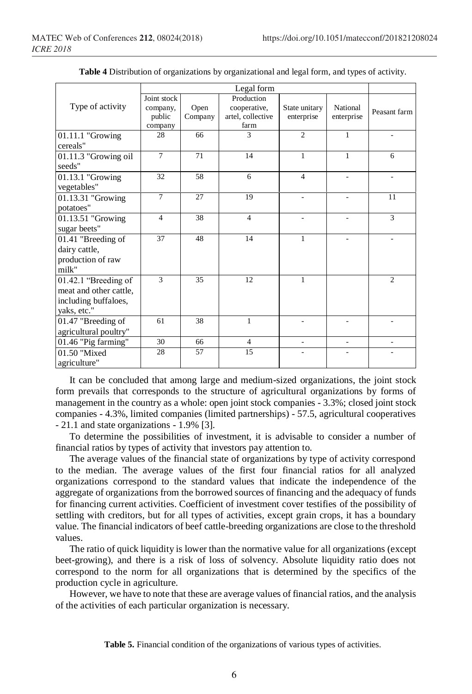| Joint stock    |                              | Production                |                                                         |                                              |                      |
|----------------|------------------------------|---------------------------|---------------------------------------------------------|----------------------------------------------|----------------------|
| company,       | Open                         | cooperative,              | State unitary                                           | National                                     | Peasant farm         |
|                |                              |                           |                                                         |                                              |                      |
| company        |                              |                           |                                                         |                                              |                      |
|                |                              |                           |                                                         |                                              |                      |
|                |                              |                           |                                                         |                                              |                      |
|                |                              |                           |                                                         |                                              | 6                    |
|                |                              |                           |                                                         |                                              |                      |
|                |                              |                           | $\overline{4}$                                          | $\overline{a}$                               | ٠                    |
|                |                              |                           |                                                         |                                              |                      |
| $\overline{7}$ | 27                           | 19                        |                                                         |                                              | 11                   |
|                |                              |                           |                                                         |                                              |                      |
| $\overline{4}$ | 38                           | $\overline{4}$            | ٠                                                       | ٠                                            | 3                    |
|                |                              |                           |                                                         |                                              |                      |
| 37             | 48                           | 14                        | $\mathbf{1}$                                            |                                              |                      |
|                |                              |                           |                                                         |                                              |                      |
|                |                              |                           |                                                         |                                              |                      |
|                |                              |                           |                                                         |                                              |                      |
| 3              | 35                           | 12                        | 1                                                       |                                              | 2                    |
|                |                              |                           |                                                         |                                              |                      |
|                |                              |                           |                                                         |                                              |                      |
|                |                              |                           |                                                         |                                              |                      |
| 61             | 38                           | $\mathbf{1}$              |                                                         |                                              |                      |
|                |                              |                           |                                                         |                                              |                      |
| 30             | 66                           | $\overline{4}$            | ۰                                                       | $\overline{a}$                               |                      |
| 28             | 57                           | 15                        |                                                         |                                              |                      |
|                |                              |                           |                                                         |                                              |                      |
|                | public<br>28<br>$\tau$<br>32 | Company<br>66<br>71<br>58 | Legal form<br>artel, collective<br>farm<br>3<br>14<br>6 | enterprise<br>$\overline{2}$<br>$\mathbf{1}$ | enterprise<br>1<br>1 |

**Table 4** Distribution of organizations by organizational and legal form, and types of activity.

It can be concluded that among large and medium-sized organizations, the joint stock form prevails that corresponds to the structure of agricultural organizations by forms of management in the country as a whole: open joint stock companies - 3.3%; closed joint stock companies - 4.3%, limited companies (limited partnerships) - 57.5, agricultural cooperatives - 21.1 and state organizations - 1.9% [3].

To determine the possibilities of investment, it is advisable to consider a number of financial ratios by types of activity that investors pay attention to.

The average values of the financial state of organizations by type of activity correspond to the median. The average values of the first four financial ratios for all analyzed organizations correspond to the standard values that indicate the independence of the aggregate of organizations from the borrowed sources of financing and the adequacy of funds for financing current activities. Coefficient of investment cover testifies of the possibility of settling with creditors, but for all types of activities, except grain crops, it has a boundary value. The financial indicators of beef cattle-breeding organizations are close to the threshold values.

The ratio of quick liquidity is lower than the normative value for all organizations (except beet-growing), and there is a risk of loss of solvency. Absolute liquidity ratio does not correspond to the norm for all organizations that is determined by the specifics of the production cycle in agriculture.

However, we have to note that these are average values of financial ratios, and the analysis of the activities of each particular organization is necessary.

**Table 5.** Financial condition of the organizations of various types of activities.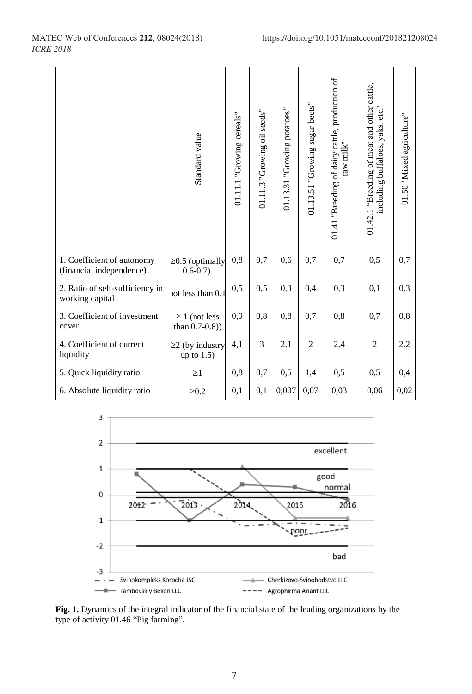|                                                        | Standard value                           | 01.11.1 "Growing cereals" | 01.11.3 "Growing oil seeds" | 01.13.31 "Growing potatoes" | 01.13.51 "Growing sugar beets" | 01.41 "Breeding of dairy cattle, production of<br>$\mbox{raw}$ $\mbox{milk}^{\mbox{\tiny\it{n}}}$ | 01.42.1 "Breeding of meat and other cattle,<br>including buffaloes, yaks, etc." | 01.50 "Mixed agriculture" |
|--------------------------------------------------------|------------------------------------------|---------------------------|-----------------------------|-----------------------------|--------------------------------|---------------------------------------------------------------------------------------------------|---------------------------------------------------------------------------------|---------------------------|
| 1. Coefficient of autonomy<br>(financial independence) | $\geq$ 0.5 (optimally<br>$0.6 - 0.7$ ).  | 0,8                       | 0,7                         | 0,6                         | 0.7                            | 0,7                                                                                               | 0, 5                                                                            | 0,7                       |
| 2. Ratio of self-sufficiency in<br>working capital     | not less than 0.1                        | 0,5                       | 0,5                         | 0,3                         | 0.4                            | 0,3                                                                                               | 0,1                                                                             | 0,3                       |
| 3. Coefficient of investment<br>cover                  | $\geq 1$ (not less<br>than $0.7 - 0.8$ ) | 0,9                       | 0,8                         | 0,8                         | 0.7                            | 0,8                                                                                               | 0.7                                                                             | 0,8                       |
| 4. Coefficient of current<br>liquidity                 | $\geq$ 2 (by industry<br>up to 1.5)      | 4,1                       | 3                           | 2,1                         | 2                              | 2,4                                                                                               | $\overline{c}$                                                                  | 2.2                       |
| 5. Quick liquidity ratio                               | $\geq$ 1                                 | 0.8                       | 0,7                         | 0,5                         | 1,4                            | 0,5                                                                                               | 0,5                                                                             | 0,4                       |
| 6. Absolute liquidity ratio                            | $\geq0.2$                                | 0,1                       | 0,1                         | 0,007                       | 0,07                           | 0,03                                                                                              | 0,06                                                                            | 0,02                      |



**Fig. 1.** Dynamics of the integral indicator of the financial state of the leading organizations by the type of activity 01.46 "Pig farming".